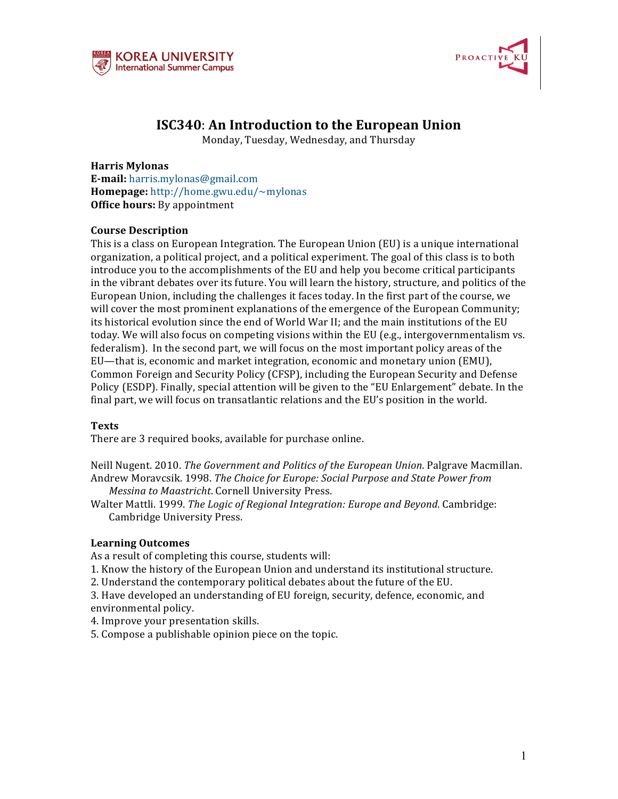



# **ISC340: An Introduction to the European Union**

Monday, Tuesday, Wednesday, and Thursday

**Harris Mylonas E-mail:** harris.mylonas@gmail.com **Homepage:** http://home.gwu.edu/~mylonas **Office hours:** By appointment

# **Course Description**

This is a class on European Integration. The European Union (EU) is a unique international organization, a political project, and a political experiment. The goal of this class is to both introduce you to the accomplishments of the EU and help you become critical participants in the vibrant debates over its future. You will learn the history, structure, and politics of the European Union, including the challenges it faces today. In the first part of the course, we will cover the most prominent explanations of the emergence of the European Community; its historical evolution since the end of World War II; and the main institutions of the EU today. We will also focus on competing visions within the EU (e.g., intergovernmentalism vs. federalism). In the second part, we will focus on the most important policy areas of the EU-that is, economic and market integration, economic and monetary union (EMU), Common Foreign and Security Policy (CFSP), including the European Security and Defense Policy (ESDP). Finally, special attention will be given to the "EU Enlargement" debate. In the final part, we will focus on transatlantic relations and the EU's position in the world.

## **Texts**

There are 3 required books, available for purchase online.

Neill Nugent. 2010. *The Government and Politics of the European Union*. Palgrave Macmillan. Andrew Moravcsik. 1998. *The Choice for Europe: Social Purpose and State Power from Messina to Maastricht.* Cornell University Press.

Walter Mattli. 1999. The Logic of Regional Integration: Europe and Beyond. Cambridge: Cambridge University Press.

## **Learning Outcomes**

As a result of completing this course, students will:

- 1. Know the history of the European Union and understand its institutional structure.
- 2. Understand the contemporary political debates about the future of the EU.
- 3. Have developed an understanding of EU foreign, security, defence, economic, and environmental policy.
- 4. Improve your presentation skills.
- 5. Compose a publishable opinion piece on the topic.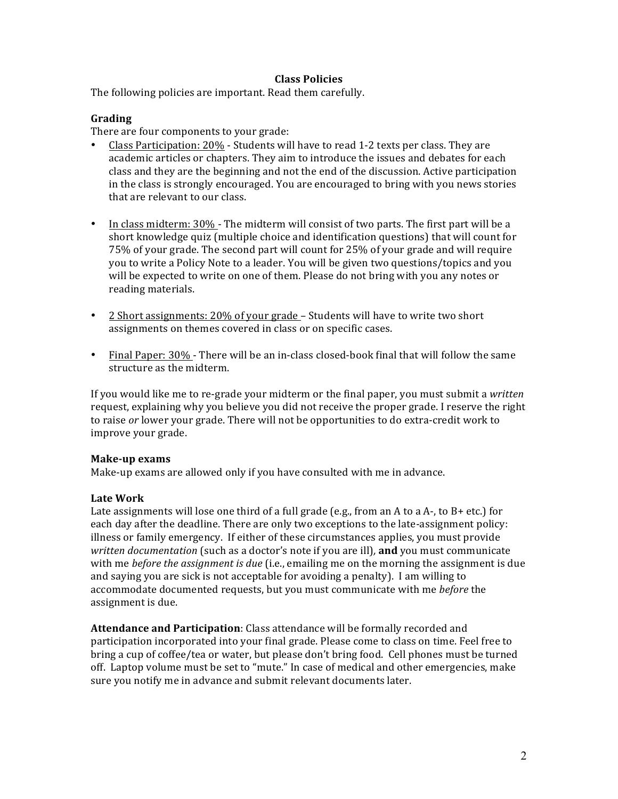## **Class Policies**

The following policies are important. Read them carefully.

## **Grading**

There are four components to your grade:

- Class Participation: 20% Students will have to read 1-2 texts per class. They are academic articles or chapters. They aim to introduce the issues and debates for each class and they are the beginning and not the end of the discussion. Active participation in the class is strongly encouraged. You are encouraged to bring with you news stories that are relevant to our class.
- In class midterm: 30% The midterm will consist of two parts. The first part will be a short knowledge quiz (multiple choice and identification questions) that will count for 75% of your grade. The second part will count for 25% of your grade and will require you to write a Policy Note to a leader. You will be given two questions/topics and you will be expected to write on one of them. Please do not bring with you any notes or reading materials.
- 2 Short assignments: 20% of your grade Students will have to write two short assignments on themes covered in class or on specific cases.
- Final Paper: 30% There will be an in-class closed-book final that will follow the same structure as the midterm.

If you would like me to re-grade your midterm or the final paper, you must submit a *written* request, explaining why you believe you did not receive the proper grade. I reserve the right to raise *or* lower your grade. There will not be opportunities to do extra-credit work to improve your grade.

## **Make-up exams**

Make-up exams are allowed only if you have consulted with me in advance.

# **Late Work**

Late assignments will lose one third of a full grade (e.g., from an A to a A-, to B+ etc.) for each day after the deadline. There are only two exceptions to the late-assignment policy: illness or family emergency. If either of these circumstances applies, you must provide *written documentation* (such as a doctor's note if you are ill), **and** you must communicate with me *before the assignment is due* (i.e., emailing me on the morning the assignment is due and saying you are sick is not acceptable for avoiding a penalty). I am willing to accommodate documented requests, but you must communicate with me *before* the assignment is due.

**Attendance and Participation**: Class attendance will be formally recorded and participation incorporated into your final grade. Please come to class on time. Feel free to bring a cup of coffee/tea or water, but please don't bring food. Cell phones must be turned off. Laptop volume must be set to "mute." In case of medical and other emergencies, make sure you notify me in advance and submit relevant documents later.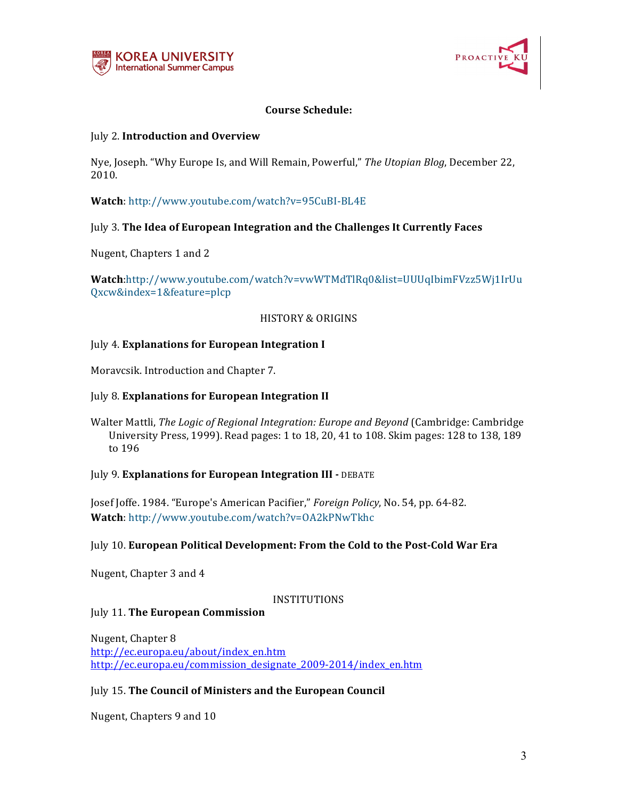



# **Course Schedule:**

## July 2. **Introduction and Overview**

Nye, Joseph. "Why Europe Is, and Will Remain, Powerful," *The Utopian Blog*, December 22, 2010.

Watch: http://www.youtube.com/watch?v=95CuBI-BL4E

# July 3. The Idea of European Integration and the Challenges It Currently Faces

Nugent, Chapters 1 and 2

**Watch**:http://www.youtube.com/watch?v=vwWTMdTlRq0&list=UUUqIbimFVzz5Wj1IrUu Qxcw&index=1&feature=plcp

## HISTORY & ORIGINS

## July 4. **Explanations for European Integration I**

Moravcsik. Introduction and Chapter 7.

## July 8. **Explanations for European Integration II**

Walter Mattli, *The Logic of Regional Integration: Europe and Beyond* (Cambridge: Cambridge University Press, 1999). Read pages: 1 to 18, 20, 41 to 108. Skim pages: 128 to 138, 189 to 196

## **July 9. Explanations for European Integration III - DEBATE**

Josef Joffe. 1984. "Europe's American Pacifier," Foreign Policy, No. 54, pp. 64-82. Watch: http://www.youtube.com/watch?v=OA2kPNwTkhc

## July 10. **European Political Development: From the Cold to the Post-Cold War Era**

Nugent, Chapter 3 and 4

## INSTITUTIONS

**July 11. The European Commission** 

Nugent, Chapter 8 http://ec.europa.eu/about/index\_en.htm http://ec.europa.eu/commission\_designate\_2009-2014/index\_en.htm

# July 15. **The Council of Ministers and the European Council**

Nugent, Chapters 9 and 10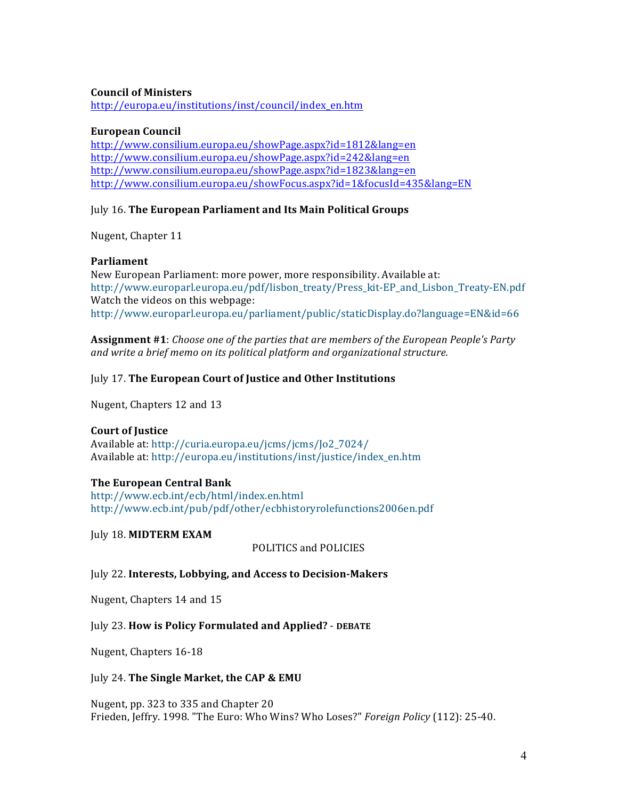## **Council of Ministers**

http://europa.eu/institutions/inst/council/index\_en.htm

## **European Council**

http://www.consilium.europa.eu/showPage.aspx?id=1812&lang=en http://www.consilium.europa.eu/showPage.aspx?id=242&lang=en http://www.consilium.europa.eu/showPage.aspx?id=1823&lang=en http://www.consilium.europa.eu/showFocus.aspx?id=1&focusId=435&lang=EN

## July 16. The European Parliament and Its Main Political Groups

Nugent, Chapter 11

# **Parliament**

New European Parliament: more power, more responsibility. Available at: http://www.europarl.europa.eu/pdf/lisbon\_treaty/Press\_kit-EP\_and\_Lisbon\_Treaty-EN.pdf Watch the videos on this webpage: http://www.europarl.europa.eu/parliament/public/staticDisplay.do?language=EN&id=66

**Assignment** #1: *Choose one of the parties that are members of the European People's Party and* write a brief memo on its political platform and organizational structure.

# **July 17. The European Court of Justice and Other Institutions**

Nugent, Chapters 12 and 13

# **Court of Justice**

Available at: http://curia.europa.eu/jcms/jcms/Jo2\_7024/ Available at: http://europa.eu/institutions/inst/justice/index\_en.htm

# **The European Central Bank**

http://www.ecb.int/ecb/html/index.en.html http://www.ecb.int/pub/pdf/other/ecbhistoryrolefunctions2006en.pdf

July 18. **MIDTERM EXAM**

POLITICS and POLICIES

## July 22. **Interests, Lobbying, and Access to Decision-Makers**

Nugent, Chapters 14 and 15

# July 23. How is Policy Formulated and Applied? - DEBATE

Nugent, Chapters 16-18

## **July 24. The Single Market, the CAP & EMU**

Nugent, pp. 323 to 335 and Chapter 20 Frieden, Jeffry. 1998. "The Euro: Who Wins? Who Loses?" *Foreign Policy* (112): 25-40.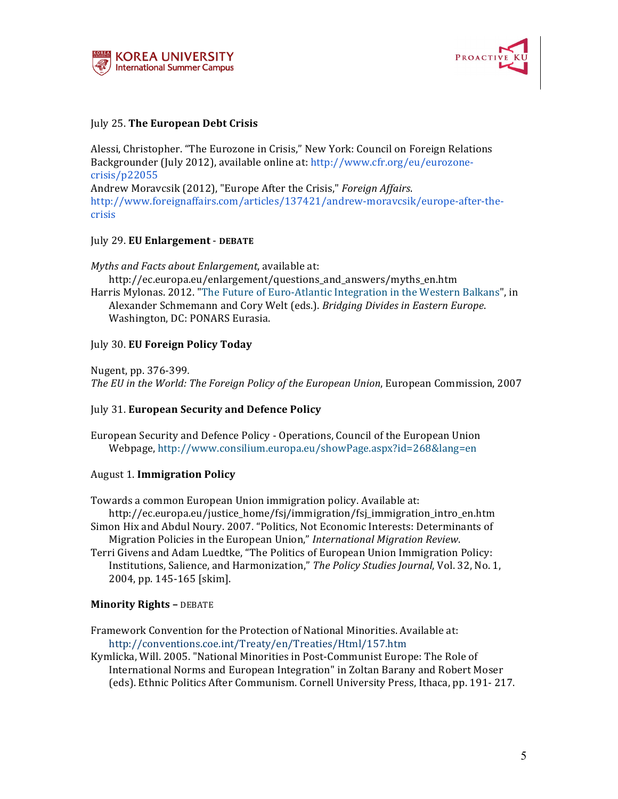



## July 25. **The European Debt Crisis**

Alessi, Christopher. "The Eurozone in Crisis," New York: Council on Foreign Relations Backgrounder (July 2012), available online at: http://www.cfr.org/eu/eurozonecrisis/p22055 Andrew Moravcsik (2012), "Europe After the Crisis," *Foreign Affairs*. http://www.foreignaffairs.com/articles/137421/andrew-moravcsik/europe-after-thecrisis

## July 29. **EU Enlargement** - **DEBATE**

*Myths and Facts about Enlargement*, available at:

http://ec.europa.eu/enlargement/questions\_and\_answers/myths\_en.htm Harris Mylonas. 2012. "The Future of Euro-Atlantic Integration in the Western Balkans", in Alexander Schmemann and Cory Welt (eds.). *Bridging Divides in Eastern Europe*.

Washington, DC: PONARS Eurasia.

# July 30. **EU Foreign Policy Today**

Nugent, pp. 376-399*.* The EU in the World: The Foreign Policy of the European Union, European Commission, 2007

## July 31. **European Security and Defence Policy**

European Security and Defence Policy - Operations, Council of the European Union Webpage, http://www.consilium.europa.eu/showPage.aspx?id=268&lang=en

## August 1. **Immigration Policy**

Towards a common European Union immigration policy. Available at:

http://ec.europa.eu/justice\_home/fsj/immigration/fsj\_immigration\_intro\_en.htm Simon Hix and Abdul Noury. 2007. "Politics, Not Economic Interests: Determinants of Migration Policies in the European Union," *International Migration Review*.

Terri Givens and Adam Luedtke, "The Politics of European Union Immigration Policy: Institutions, Salience, and Harmonization," The Policy Studies Journal, Vol. 32, No. 1, 2004, pp. 145-165 [skim].

# **Minority Rights - DEBATE**

Framework Convention for the Protection of National Minorities. Available at: http://conventions.coe.int/Treaty/en/Treaties/Html/157.htm

Kymlicka, Will. 2005. "National Minorities in Post-Communist Europe: The Role of International Norms and European Integration" in Zoltan Barany and Robert Moser (eds). Ethnic Politics After Communism. Cornell University Press, Ithaca, pp. 191-217.